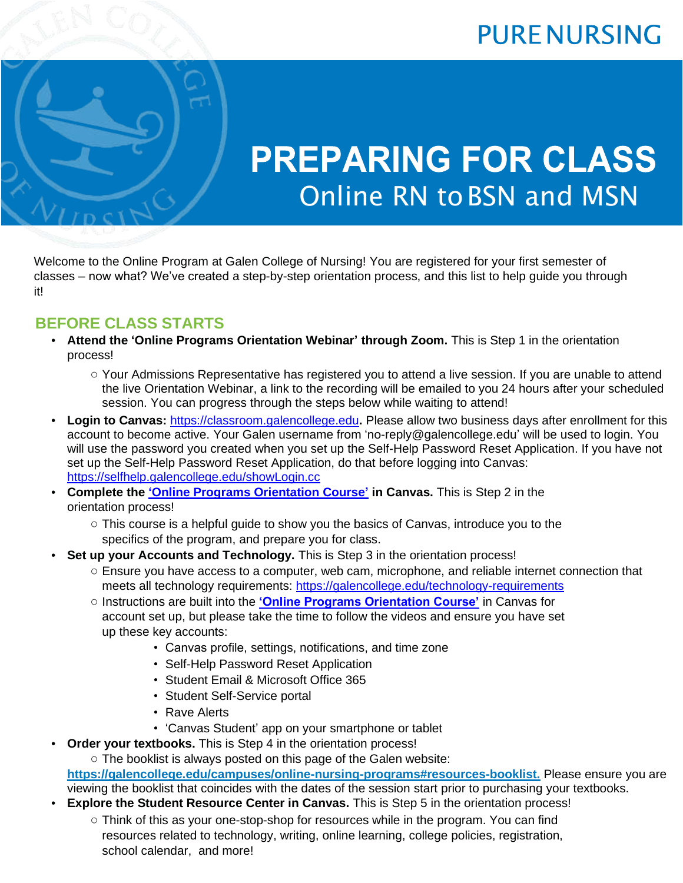

# **PREPARING FOR CLASS** Online RN toBSN and MSN

Welcome to the Online Program at Galen College of Nursing! You are registered for your first semester of classes – now what? We've created a step-by-step orientation process, and this list to help guide you through it!

MSN

### **BEFORE CLASS STARTS**

- **Attend the 'Online Programs Orientation Webinar' through Zoom.** This is Step 1 in the orientation process!
	- Your Admissions Representative has registered you to attend a live session. If you are unable to attend the live Orientation Webinar, a link to the recording will be emailed to you 24 hours after your scheduled session. You can progress through the steps below while waiting to attend!
- **Login to Canvas:** [https://classroom.galencollege.edu](https://classroom.galencollege.edu/)**.** Please allow two business days after enrollment for this account to become active. Your Galen username from 'no-reply@galencollege.edu' will be used to login. You will use the password you created when you set up the Self-Help Password Reset Application. If you have not set up the Self-Help Password Reset Application, do that before logging into Canvas: <https://selfhelp.galencollege.edu/showLogin.cc>
- **Complete the ['Online Programs Orientation Course'](https://classroom.galencollege.edu/courses/3256837) in Canvas.** This is Step 2 in the orientation process!
	- $\circ$  This course is a helpful guide to show you the basics of Canvas, introduce you to the specifics of the program, and prepare you for class.
- **Set up your Accounts and Technology.** This is Step 3 in the orientation process!
	- Ensure you have access to a computer, web cam, microphone, and reliable internet connection that meets all technology requirements:<https://galencollege.edu/technology-requirements>
	- Instructions are built into the **['Online Programs Orientation Course'](https://classroom.galencollege.edu/courses/3256837)** in Canvas for account set up, but please take the time to follow the videos and ensure you have set up these key accounts:
		- Canvas profile, settings, notifications, and time zone
		- Self-Help Password Reset Application
		- Student Email & Microsoft Office 365
		- Student Self-Service portal
		- Rave Alerts
		- 'Canvas Student' app on your smartphone or tablet
- **Order your textbooks.** This is Step 4 in the orientation process!

 $\circ$  The booklist is always posted on this page of the Galen website: **https://galencollege.edu/campuses/online-nursing-programs#resources-booklist.** Please ensure you are viewing the booklist that coincides with the dates of the session start prior to purchasing your textbooks.

- **Explore the Student Resource Center in Canvas.** This is Step 5 in the orientation process!
	- Think of this as your one-stop-shop for resources while in the program. You can find resources related to technology, writing, online learning, college policies, registration. school calendar, and more!